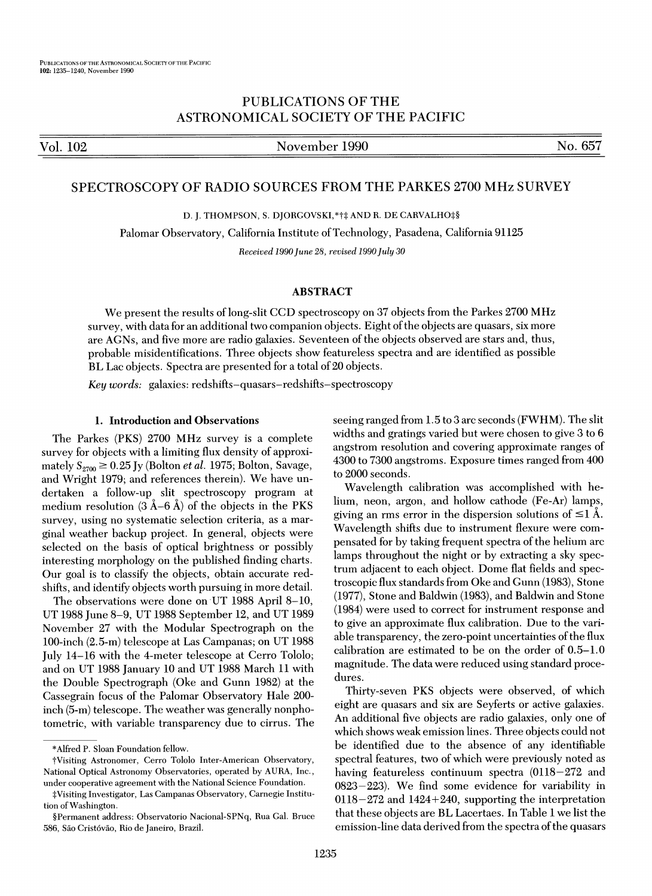# PUBLICATIONS OF THE ASTRONOMICAL SOCIETY OF THE PACIFIC

Vol. 102 November 1990 No. 657

# SPECTROSCOPY OF RADIO SOURCES FROM THE PARKES 2700 MHz SURVEY

D. J. THOMPSON, S. DJORGOVSKI, \*†‡ AND R. DE CARVALHO‡§

Palomar Observatory, California Institute ofTechnology, Pasadena, California 91125

Received 1990 June 28, revised 1990 July 30

# ABSTRACT

We present the results of long-slit CCD spectroscopy on 37 objects from the Parkes 2700 MHz survey, with data for an additional two companion objects. Eight of the objects are quasars, six more are AGNs, and five more are radio galaxies. Seventeen ofthe objects observed are stars and, thus, probable misidentifications. Three objects show featureless spectra and are identified as possible BL Lac objects. Spectra are presented for a total of 20 objects.

Key words: galaxies: redshifts-quasars-redshifts-spectroscopy

### 1. Introduction and Observations

The Parkes (PKS) 2700 MHz survey is a complete survey for objects with a limiting flux density of approximately  $S_{2700} \ge 0.25$  Jy (Bolton *et al.* 1975; Bolton, Savage, and Wright 1979; and references therein). We have undertaken a follow-up slit spectroscopy program at medium resolution  $(3 \text{ Å}-6 \text{ Å})$  of the objects in the PKS survey, using no systematic selection criteria, as a marginal weather backup project. In general, objects were selected on the basis of optical brightness or possibly interesting morphology on the published finding charts. Our goal is to classify the objects, obtain accurate redshifts, and identify objects worth pursuing in more detail.

The observations were done on UT 1988 April 8-10, UT 1988 June 8-9, UT 1988 September 12, and UT 1989 November 27 with the Modular Spectrograph on the 100-inch (2.5-m) telescope at Las Campanas; on UT 1988 July 14-16 with the 4-meter telescope at Cerro Tololo; and on UT 1988 January 10 and UT 1988 March 11 with the Double Spectrograph (Oke and Gunn 1982) at the Cassegrain focus of the Palomar Observatory Hale 200 inch (5-m) telescope. The weather was generally nonphotometric, with variable transparency due to cirrus. The seeing ranged from 1.5 to 3 arc seconds (FWHM). The slit widths and gratings varied but were chosen to give 3 to 6 angstrom resolution and covering approximate ranges of 4300 to 7300 angstroms. Exposure times ranged from 400 to 2000 seconds.

Wavelength calibration was accomplished with helium, neon, argon, and hollow cathode (Fe-Ar) lamps, giving an rms error in the dispersion solutions of  $\leq 1$  Å. Wavelength shifts due to instrument flexure were compensated for by taking frequent spectra of the helium arc lamps throughout the night or by extracting a sky spectrum adjacent to each object. Dome flat fields and spectroscopic flux standards from Oke and Gunn (1983), Stone (1977), Stone and Baldwin (1983), and Baldwin and Stone (1984) were used to correct for instrument response and to give an approximate flux calibration. Due to the variable transparency, the zero-point uncertainties of the flux calibration are estimated to be on the order of 0.5-1.0 magnitude. The data were reduced using standard procedures.

Thirty-seven PKS objects were observed, of which eight are quasars and six are Seyferts or active galaxies. An additional five objects are radio galaxies, only one of which shows weak emission lines. Three objects could not be identified due to the absence of any identifiable spectral features, two of which were previously noted as having featureless continuum spectra (0118—272 and 0823—223). We find some evidence for variability in  $0118 - 272$  and  $1424 + 240$ , supporting the interpretation that these objects are BL Lacertaes. In Table <sup>1</sup> we list the emission-line data derived from the spectra of the quasars

<sup>\*</sup>Alfred P. Sloan Foundation fellow.

tVisiting Astronomer, Cerro Tololo Inter-American Observatory, National Optical Astronomy Observatories, operated by AURA, Inc., under cooperative agreement with the National Science Foundation.

<sup>^</sup>Visiting Investigator, Las Campanas Observatory, Carnegie Institution of Washington.

<sup>§</sup>Permanent address: Observatorio Nacional-SPNq, Rua Gal. Bruce 586, Säo Cristóváo, Rio de Janeiro, Brazil.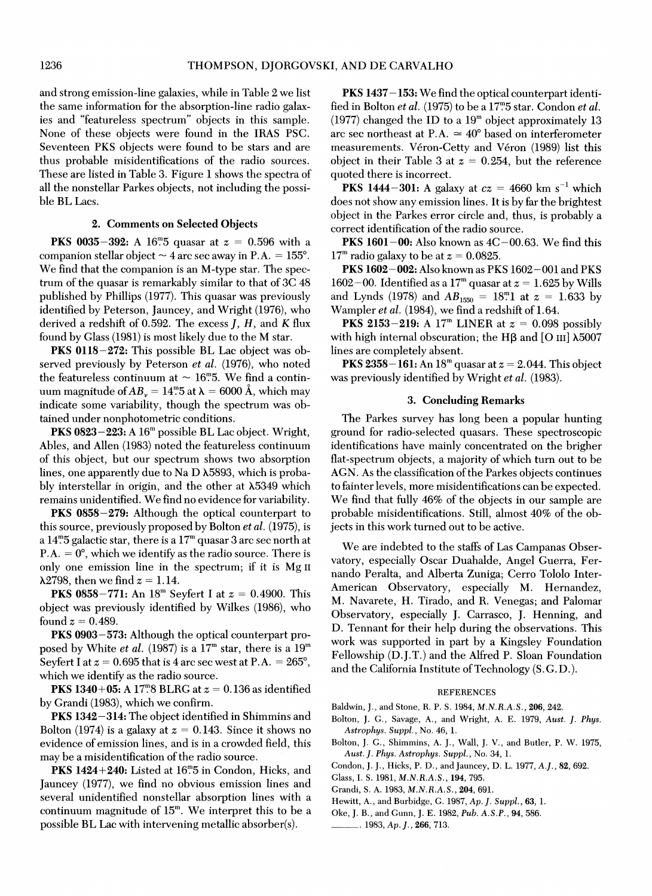and strong emission-line galaxies, while in Table 2 we list the same information for the absorption-line radio galaxies and "featureless spectrum" objects in this sample. None of these objects were found in the IRAS PSC. Seventeen PKS objects were found to be stars and are thus probable misidentifications of the radio sources. These are listed in Table 3. Figure 1 shows the spectra of all the nonstellar Parkes objects, not including the possible BL Lacs.

### 2. Comments on Selected Objects

**PKS 0035-392:** A 16<sup>n</sup>. b quasar at  $z = 0.596$  with a companion stellar object  $\sim$  4 arc sec away in P.A. = 155°. We find that the companion is an M-type star. The spectrum of the quasar is remarkably similar to that of 3C 48 published by Phillips (1977). This quasar was previously identified by Peterson, Jauncey, and Wright (1976), who derived a redshift of 0.592. The excess  $J, H$ , and  $K$  flux found by Glass (1981) is most likely due to the M star.

PKS 0118—272: This possible BL Lac object was observed previously by Peterson *et al.* (1976), who noted the featureless continuum at  $\sim 16^{\circ}$ 5. We find a continuum magnitude of  $AB_y = 14^\circ$ . at  $\lambda = 6000 \text{ Å}$ , which may indicate some variability, though the spectrum was obtained under nonphotometric conditions.

 $PKS 0823 - 223$ : A  $16<sup>m</sup>$  possible BL Lac object. Wright, Abies, and Allen (1983) noted the featureless continuum of this object, but our spectrum shows two absorption lines, one apparently due to Na D X5893, which is probably interstellar in origin, and the other at X5349 which remains unidentified. We find no evidence for variability.

PKS 0858—279: Although the optical counterpart to this source, previously proposed by Bolton et al. (1975), is a 14".5 galactic star, there is a  $17^{\rm m}$  quasar 3 arc sec north at P.A.  $= 0^{\circ}$ , which we identify as the radio source. There is only one emission line in the spectrum; if it is Mg II  $\lambda$ 2798, then we find  $z = 1.14$ .

**PKS 0858-771:** An  $18^{\text{m}}$  Seyfert I at  $z = 0.4900$ . This object was previously identified by Wilkes (1986), who found  $z = 0.489$ .

PKS 0903—573: Although the optical counterpart proposed by White *et al.* (1987) is a  $17^{\rm m}$  star, there is a  $19^{\rm m}$ Seyfert I at  $z = 0.695$  that is 4 arc sec west at P.A. = 265°, which we identify as the radio source.

**PKS 1340+05:** A 17<sup>m</sup>8 BLRG at  $z = 0.136$  as identified by Grandi (1983), which we confirm.

PKS 1342—314: The object identified in Shimmins and Bolton (1974) is a galaxy at  $z = 0.143$ . Since it shows no evidence of emission lines, and is in a crowded field, this may be a misidentification of the radio source.

**PKS 1424+240:** Listed at  $16^{\circ}$ 5 in Condon, Hicks, and Jauncey (1977), we find no obvious emission lines and several unidentified nonstellar absorption lines with a  $\mathop{\rm continuum}$  magnitude of  $15^{\mathsf{m}}$ . We interpret this to be a possible BL Lac with intervening metallic absorber(s).

PKS 1437-153: We find the optical counterpart identified in Bolton et al. (1975) to be a 17".5 star. Condon et al.  $(1977)$  changed the ID to a  $19<sup>m</sup>$  object approximately 13 arc sec northeast at P.A.  $\simeq 40^{\circ}$  based on interferometer measurements. Véron-Cetty and Véron (1989) list this object in their Table 3 at  $z = 0.254$ , but the reference quoted there is incorrect.

oted there is incorrect.<br>**PKS 1444–301:** A galaxy at  $cz = 4660$  km s<sup>-1</sup> which does not show any emission lines. It is by far the brightest object in the Parkes error circle and, thus, is probably a correct identification of the radio source.

**PKS 1601–00:** Also known as  $4C-00.63$ . We find this  $17<sup>m</sup>$  radio galaxy to be at  $z = 0.0825$ .

PKS 1602—002: Also known as PKS 1602—001 and PKS  $1602-00$ . Identified as a  $17^{\rm m}$  quasar at  $z=1.625$  by Wills and Lynds (1978) and  $AB_{1550} = 18^{m}1$  at  $z = 1.633$  by Wampler et al. (1984), we find a redshift of 1.64.

**PKS 2153-219:** A 17<sup>m</sup> LINER at  $z = 0.098$  possibly with high internal obscuration; the H $\beta$  and [O III]  $\lambda$ 5007 lines are completely absent.

**PKS 2358–161:** An  $18^{\text{m}}$  quasar at  $z = 2.044$ . This object was previously identified by Wright *et al.* (1983).

### 3. Concluding Remarks

The Parkes survey has long been a popular hunting ground for radio-selected quasars. These spectroscopic identifications have mainly concentrated on the brigher flat-spectrum objects, a majority of which turn out to be AGN. As the classification of the Parkes objects continues to fainter levels, more misidentifications can be expected. We find that fully 46% of the objects in our sample are probable misidentifications. Still, almost 40% of the objects in this work turned out to be active.

We are indebted to the staffs of Las Campanas Observatory, especially Oscar Duahalde, Angel Guerra, Fernando Peralta, and Alberta Zuniga; Cerro Tololo Inter-American Observatory, especially M. Hernandez, M. Navarete, H. Tirado, and R. Venegas; and Palomar Observatory, especially J. Carrasco, J. Henning, and D. Tennant for their help during the observations. This work was supported in part by a Kingsley Foundation Fellowship (D.J.T.) and the Alfred P. Sloan Foundation and the California Institute of Technology (S.G.D.).

#### **REFERENCES**

Baldwin, J., and Stone, R. P. S. 1984, M.N.R.A.S., 206, 242.

- Bolton, J. G., Savage, A., and Wright, A. E. 1979, Aust. J. Phys. Astrophys. Suppl., No. 46, 1.
- Bolton, J. G., Shimmins, A. J., Wall, J. V., and Butler, P. W. 1975, Aust.J. Phys. Astrophys. Suppl., No. 34, 1.
- Condon, J. J., Hicks, P. D., and Jauncey, D. L. 1977, A.J., 82, 692.
- Glass, I. S. 1981, M.N.R.A.S., 194, 795.
- Grandi, S. A. 1983, M.N.R.A.S., 204, 691.
- Hewitt, A., and Burbidge, G. 1987, Ap. J. Suppl., 63, 1.
- Oke, J. B., and Gunn, J. E. 1982, Pub. A.S.P., 94, 586.
- $\Box$ . 1983, Ap. J., 266, 713.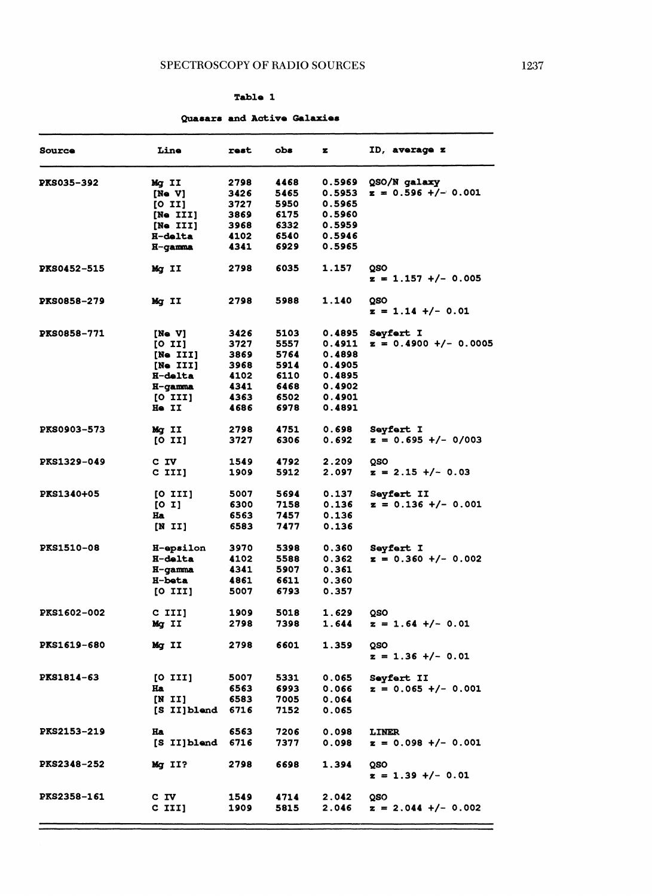### Table 1

# Quasars and Active Galaxies

| <b>Source</b>      | Line             | rest | obs  | z             | <b>ID, average z</b>    |
|--------------------|------------------|------|------|---------------|-------------------------|
| <b>PKS035-392</b>  | Mg II            | 2798 | 4468 | 0.5969        | QSO/N galaxy            |
|                    | [Ne V]           | 3426 | 5465 | 0.5953        | $z = 0.596 +/- 0.001$   |
|                    | [0 II]           | 3727 | 5950 | 0.5965        |                         |
|                    | [Ne III]         | 3869 | 6175 | 0.5960        |                         |
|                    | [Ne III]         | 3968 | 6332 | 0.5959        |                         |
|                    | <b>H-delta</b>   | 4102 | 6540 | 0.5946        |                         |
|                    | H-gamma          | 4341 | 6929 | 0.5965        |                         |
| <b>PKS0452-515</b> | Mg II            | 2798 | 6035 | 1.157         | QSO                     |
|                    |                  |      |      |               | $z = 1.157$ +/- 0.005   |
| <b>PKS0858-279</b> | Mg II            | 2798 | 5988 | 1.140         | QSO                     |
|                    |                  |      |      |               | $z = 1.14 +/- 0.01$     |
| <b>PKS0858-771</b> | [Ne V]           | 3426 | 5103 | 0.4895        | <b>Seyfert I</b>        |
|                    | [0 II]           | 3727 | 5557 | 0.4911        | $z = 0.4900 +/- 0.0005$ |
|                    | [Ne III]         | 3869 | 5764 | 0.4898        |                         |
|                    | [Ne III]         | 3968 | 5914 | 0.4905        |                         |
|                    | <b>H-delta</b>   | 4102 | 6110 | 0.4895        |                         |
|                    | H-gamma          | 4341 | 6468 | 0.4902        |                         |
|                    | [0 II]           | 4363 | 6502 | 0.4901        |                         |
|                    | He II            | 4686 | 6978 | <b>0.4891</b> |                         |
| PKS0903-573        | Mg II            | 2798 | 4751 | 0.698         | <b>Sevfert I</b>        |
|                    | [0 II]           | 3727 | 6306 | 0.692         | $z = 0.695 +/- 0/003$   |
| <b>PKS1329-049</b> | C IV             | 1549 | 4792 | 2.209         | QSO                     |
|                    | C III]           | 1909 | 5912 | 2.097         | $z = 2.15$ +/- 0.03     |
| PKS1340+05         | [0 III]          | 5007 | 5694 | 0.137         | <b>Seyfert II</b>       |
|                    | [01]             | 6300 | 7158 | 0.136         | $z = 0.136 +/- 0.001$   |
|                    | Ha               | 6563 | 7457 | 0.136         |                         |
|                    | [N II]           | 6583 | 7477 | 0.136         |                         |
| <b>PKS1510-08</b>  | H-epsilon        | 3970 | 5398 | 0.360         | <b>Seyfert I</b>        |
|                    | <b>H-delta</b>   | 4102 | 5588 | 0.362         | $z = 0.360 +/- 0.002$   |
|                    | H-gamma          | 4341 | 5907 | 0.361         |                         |
|                    | <b>H-beta</b>    | 4861 | 6611 | 0.360         |                         |
|                    | [0 II]           | 5007 | 6793 | 0.357         |                         |
| <b>PKS1602-002</b> | C III]           | 1909 | 5018 | 1.629         | QSO                     |
|                    | Mg II            | 2798 | 7398 | 1.644         | z = 1.64 +/- 0.01       |
|                    |                  |      |      |               |                         |
| <b>PKS1619-680</b> | Mg II            | 2798 | 6601 | 1.359         | oso                     |
|                    |                  |      |      |               | $z = 1.36 +/- 0.01$     |
| <b>PKS1814-63</b>  | [0 II]           | 5007 | 5331 | 0.065         | Seyfert II              |
|                    | Ha               | 6563 | 6993 | 0.066         | $z = 0.065 +/- 0.001$   |
|                    | [N II]           | 6583 | 7005 | 0.064         |                         |
|                    | [S II]blend 6716 |      | 7152 | 0.065         |                         |
| PKS2153-219        | Ha               | 6563 | 7206 | 0.098         | LINER                   |
|                    | [S II]blend 6716 |      | 7377 | 0.098         | $z = 0.098 +/- 0.001$   |
| <b>PKS2348-252</b> | $Mq$ II?         | 2798 | 6698 | 1.394         | QSO                     |
|                    |                  |      |      |               | $z = 1.39 +/- 0.01$     |
| <b>PKS2358-161</b> | C IV             | 1549 | 4714 | 2.042         | QSO                     |
|                    | $C$ III]         | 1909 | 5815 | 2.046         | $z = 2.044$ +/- 0.002   |
|                    |                  |      |      |               |                         |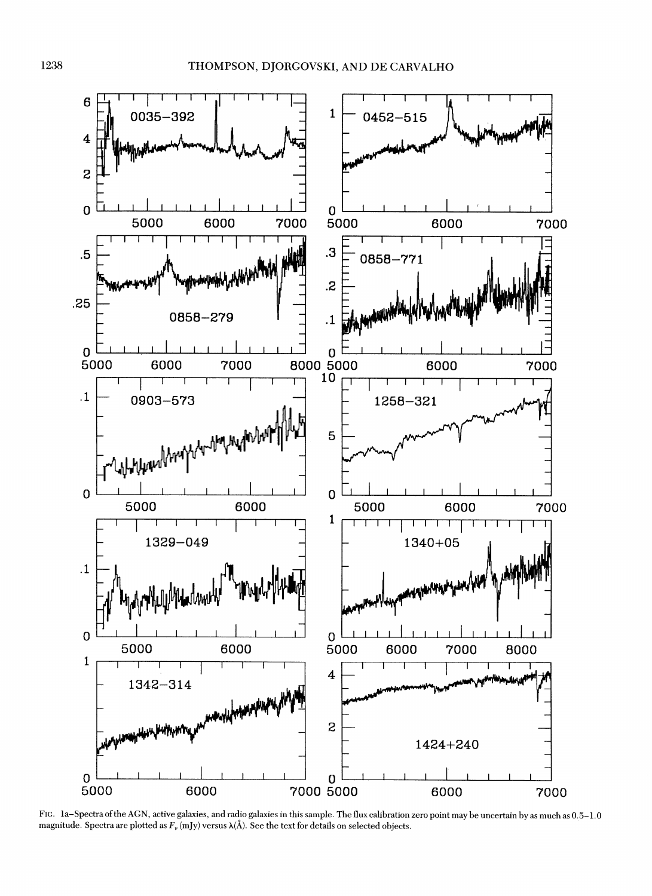

Fig. la-Spectra ofthe AGN, active galaxies, and radio galaxies in this sample. The flux calibration zero point may be uncertain by as much as 0.5-1.0 magnitude. Spectra are plotted as  $F_{\nu}$  (mJy) versus  $\lambda(\AA)$ . See the text for details on selected objects.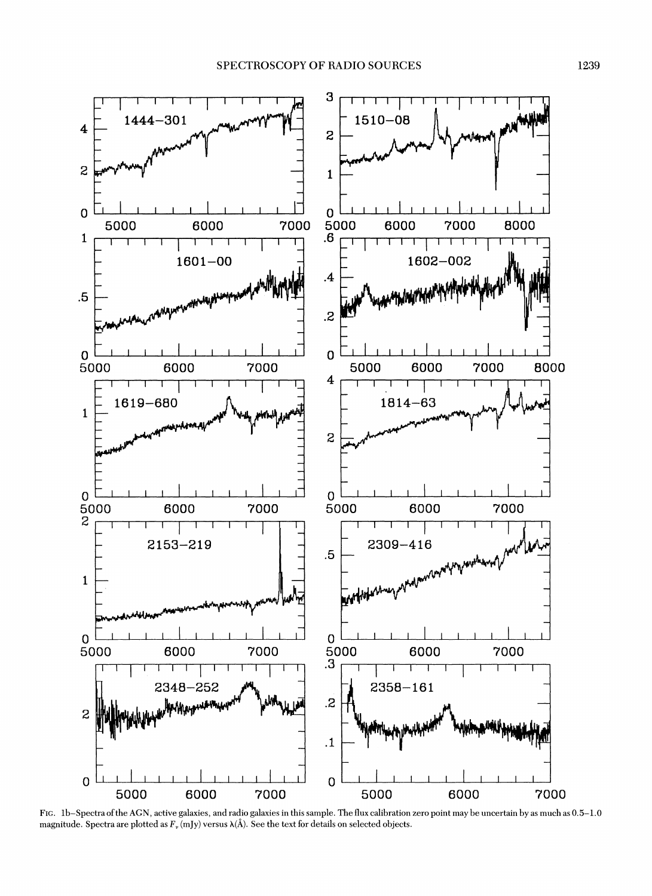

Fig. lb-Spectra ofthe AGN, active galaxies, and radio galaxies in this sample. The flux calibration zero point may be uncertain by as much as 0.5-1.0 magnitude. Spectra are plotted as  $F_v$  (mJy) versus  $\lambda(\AA)$ . See the text for details on selected objects.